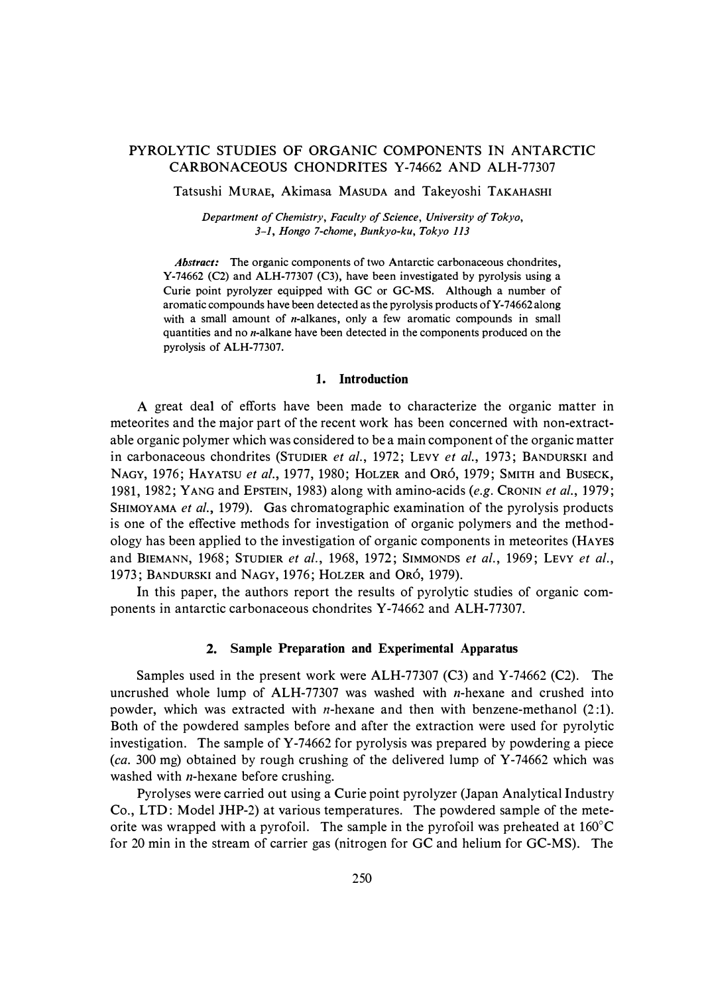# PYROLYTIC STUDIES OF ORGANIC COMPONENTS IN ANTARCTIC CARBONACEOUS CHONDRITES Y-74662 AND ALH-77307

Tatsushi MuRAE, Akimasa MASUDA and Takeyoshi TAKAHASHI

*Department of Chemistry, Faculty of Science, University of Tokyo, 3-1, Hongo 7-chome, Bunkyo-ku, Tokyo 113* 

*Abstract:* The organic components of two Antarctic carbonaceous chondrites, Y-74662 (C2) and ALH-77307 (C3), have been investigated by pyrolysis using a Curie point pyrolyzer equipped with GC or GC-MS. Although a number of aromatic compounds have been detected as the pyrolysis products of Y-74662 along with a small amount of  $n$ -alkanes, only a few aromatic compounds in small quantities and no *n*-alkane have been detected in the components produced on the pyrolysis of ALH-77307.

### **1. Introduction**

A great deal of efforts have been made to characterize the organic matter in meteorites and the major part of the recent work has been concerned with non-extractable organic polymer which was considered to be a main component of the organic matter in carbonaceous chondrites (STUDIER *et al.,* 1972; LEVY *et al.,* 1973; BANDURSKI and NAGY, 1976; HAYATSU *et al.,* 1977, 1980; HOLZER and 0R6, 1979; SMITH and BUSECK, 1981, 1982; YANG and EPSTEIN, 1983) along with amino-acids *(e.g.* CRONIN *et al.,* 1979; SHIMOYAMA *et al.,* 1979). Gas chromatographic examination of the pyrolysis products is one of the effective methods for investigation of organic polymers and the methodology has been applied to the investigation of organic components in meteorites (HAYES and BIEMANN, 1968; STUDIER *et al.,* 1968, 1972; SIMMONDS *et al.,* 1969; LEVY *et al.,*  1973; BANDURSKI and NAGY, 1976; HOLZER and 0R6, 1979).

In this paper, the authors report the results of pyrolytic studies of organic components in antarctic carbonaceous chondrites Y-74662 and ALH-77307.

#### **2. Sample Preparation and Experimental Apparatus**

Samples used in the present work were ALH-77307 (C3) and Y-74662 (C2). The uncrushed whole lump of ALH-77307 was washed with  $n$ -hexane and crushed into powder, which was extracted with *n*-hexane and then with benzene-methanol  $(2:1)$ . Both of the powdered samples before and after the extraction were used for pyrolytic investigation. The sample of Y-74662 for pyrolysis was prepared by powdering a piece *(ca.* 300 mg) obtained by rough crushing of the delivered lump of Y-74662 which was washed with  $n$ -hexane before crushing.

Pyrolyses were carried out using a Curie point pyrolyzer (Japan Analytical Industry Co., LTD: Model JHP-2) at various temperatures. The powdered sample of the meteorite was wrapped with a pyrofoil. The sample in the pyrofoil was preheated at  $160^{\circ}$ C for 20 min in the stream of carrier gas (nitrogen for GC and helium for GC-MS). The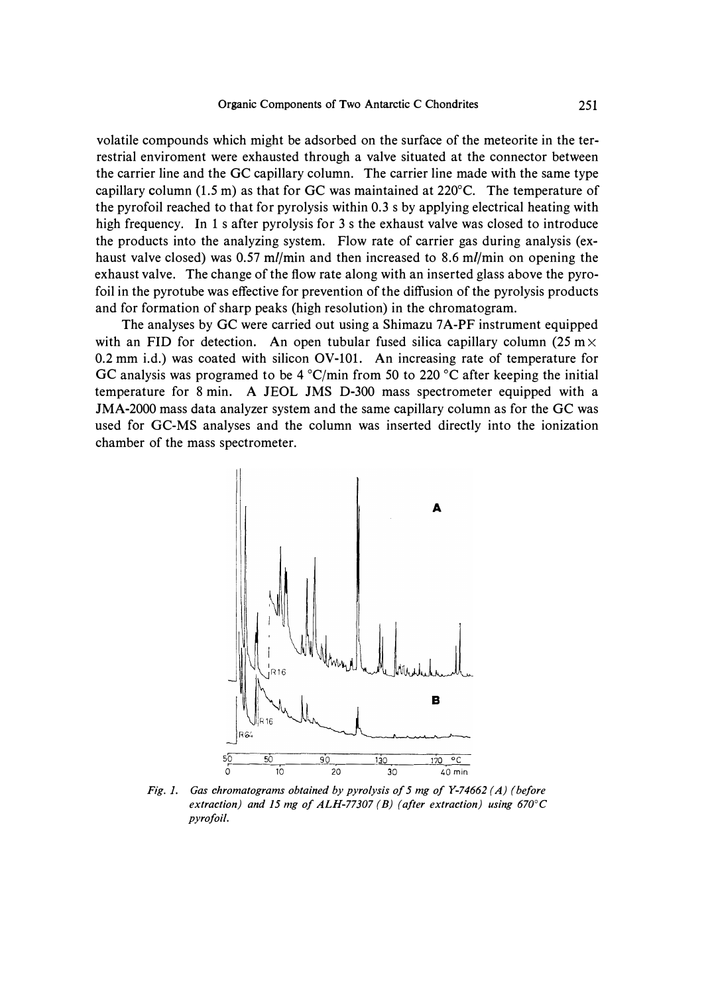**volatile compounds which might be adsorbed on the surface of the meteorite in the terrestrial enviroment were exhausted through a valve situated at the connector between the carrier line and the GC capillary column. The carrier line made with the same type capillary column (1.5 m) as that for GC was maintained at 220**°**C. The temperature of the pyrofoil reached to that for pyrolysis within 0.3 s by applying electrical heating with high frequency. In 1 s after pyrolysis for 3 s the exhaust valve was closed to introduce the products into the analyzing system. Flow rate of carrier gas during analysis (exhaust valve closed) was 0.57** *ml/min* **and then increased to 8.6 ml/min on opening the exhaust valve. The change of the flow rate along with an inserted glass above the pyrofoil in the pyrotube was effective for prevention of the diffusion of the pyrolysis products and for formation of sharp peaks (high resolution) in the chromatogram.** 

**The analyses by GC were carried out using a Shimazu 7 A-PF instrument equipped**  with an FID for detection. An open tubular fused silica capillary column (25 m $\times$ **0.2 mm i.d.) was coated with silicon OV-101. An increasing rate of temperature for GC analysis was programed to be 4** °**C/min from 50 to 220 °C after keeping the initial temperature for 8 min. A JEOL JMS D-300 mass spectrometer equipped with a JMA-2000 mass data analyzer system and the same capillary column as for the GC was used for GC-MS analyses and the column was inserted directly into the ionization chamber of the mass spectrometer.** 



*Fig. I. Gas chromatograms obtained by pyrolysis of 5 mg of Y-74662 ( A) (before extraction) and 15 mg of ALH-77307 ( B) ( after extraction) using 670°C pyrofoil.*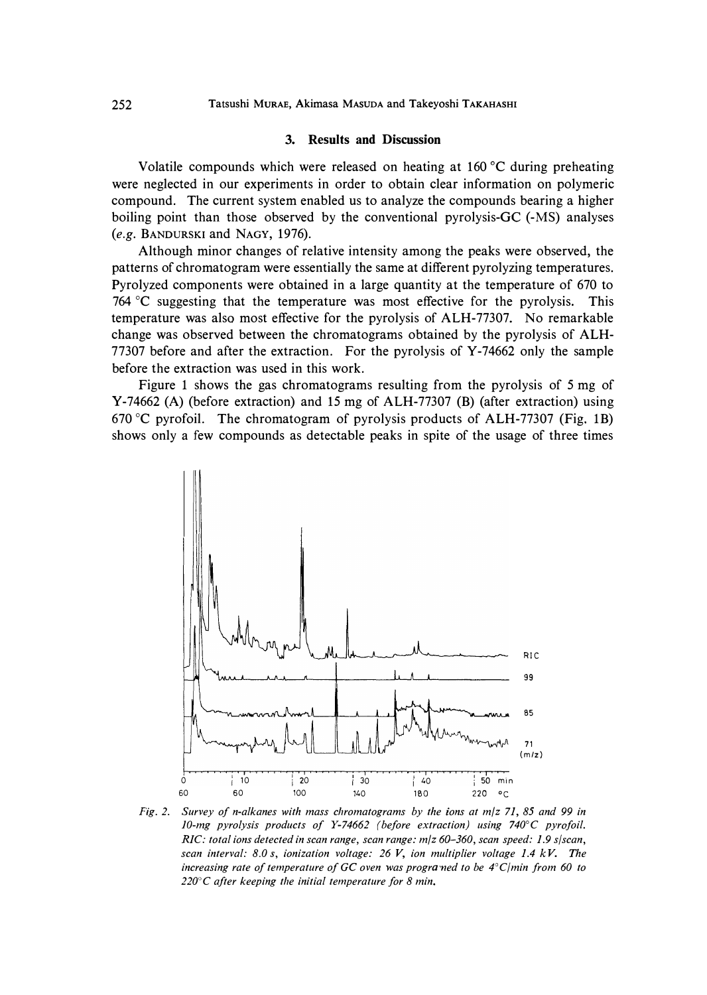## **3. Results and Discussion**

**Volatile compounds which were released on heating at 160 °C during preheating were neglected in our experiments in order to obtain clear information on polymeric compound. The current system enabled us to analyze the compounds bearing a higher boiling point than those observed by the conventional pyrolysis-Ge (-MS) analyses**  *(e.g.* **BANDURSKI and NAGY, 1976).** 

**Although minor changes of relative intensity among the peaks were observed, the patterns of chromatogram were essentially the same at different pyrolyzing temperatures. Pyrolyzed components were obtained in a large quantity at the temperature of 670 to 764 °C suggesting that the temperature was most effective for the pyrolysis. This temperature was also most effective for the pyrolysis of ALH-77307. No remarkable change was observed between the chromatograms obtained by the pyrolysis of ALH-77307 before and after the extraction. For the pyrolysis of Y-74662 only the sample before the extraction was used in this work.** 

**Figure l shows the gas chromatograms resulting from the pyrolysis of 5 mg of Y-74662 (A) (before extraction) and 15 mg of ALH-77307 (B) (after extraction) using 670 °C pyrofoil. The chromatogram of pyrolysis products of ALH-77307 (Fig. lB) shows only a few compounds as detectable peaks in spite of the usage of three times** 



*Fig. 2. Survey of n-alkanes with mass chromatograms by the ions at m/z 71, 85 and 99 in JO-mg pyrolysis products of Y-74662 (before extraction) using 740°C pyrofoil. RIC: total ions detected in scan range, scan range: m/z 60-360, scan speed: 1.9 s/scan, scan interval: 8.0* s, *ionization voltage: 26 V, ion multiplier voltage 1.4 kV. The increasing rate of temperature of GC oven was prograined to be 4<sup>°</sup><i>C*/*min from 60 to 220°C after keeping the initial temperature for 8 min.*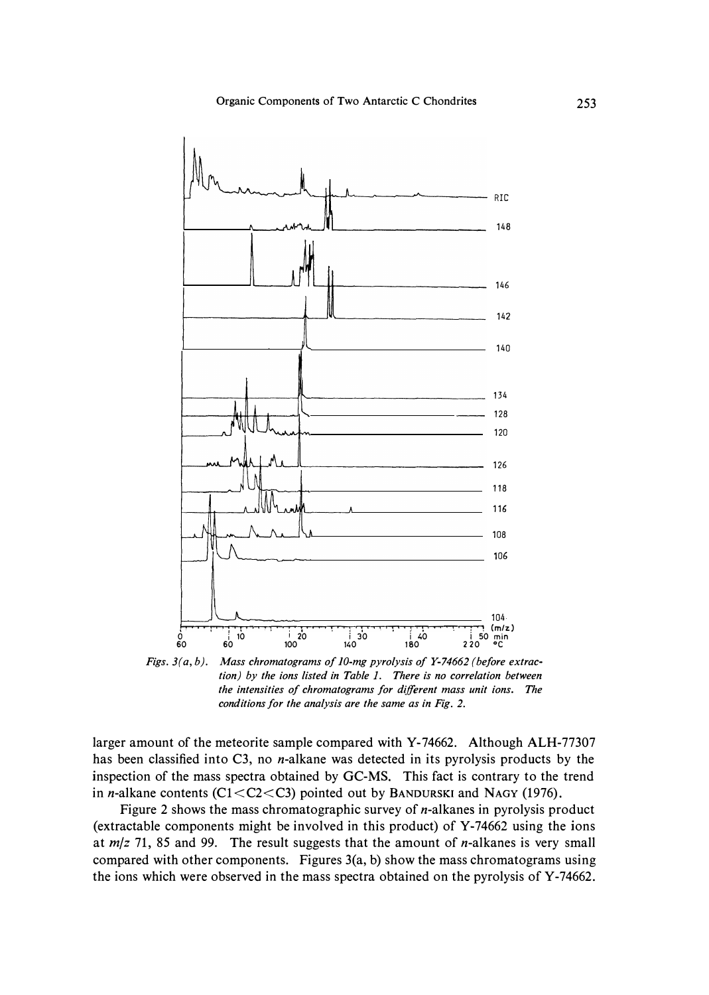

*tion) by the ions listed in Table I. There is no correlation between the intensities of chromatograms for different mass unit ions. The conditions for the analysis are the same as in Fig. 2.* 

**larger amount of the meteorite sample compared with Y-74662. Although ALH-77307 has been classified into C3, no n-alkane was detected in its pyrolysis products by the inspection of the mass spectra obtained by GC-MS. This fact is contrary to the trend in n-alkane contents (Cl <C2<C3) pointed out by BANDURSKI and NAGY (1976).** 

**Figure 2 shows the mass chromatographic survey of n-alkanes in pyrolysis product (extractable components might be involved in this product) of Y-74662 using the ions at** *m/z* **71, 85 and 99. The result suggests that the amount of n-alkanes is very small compared with other components. Figures 3(a, b) show the mass chromatograms using the ions which were observed in the mass spectra obtained on the pyrolysis of Y-74662.**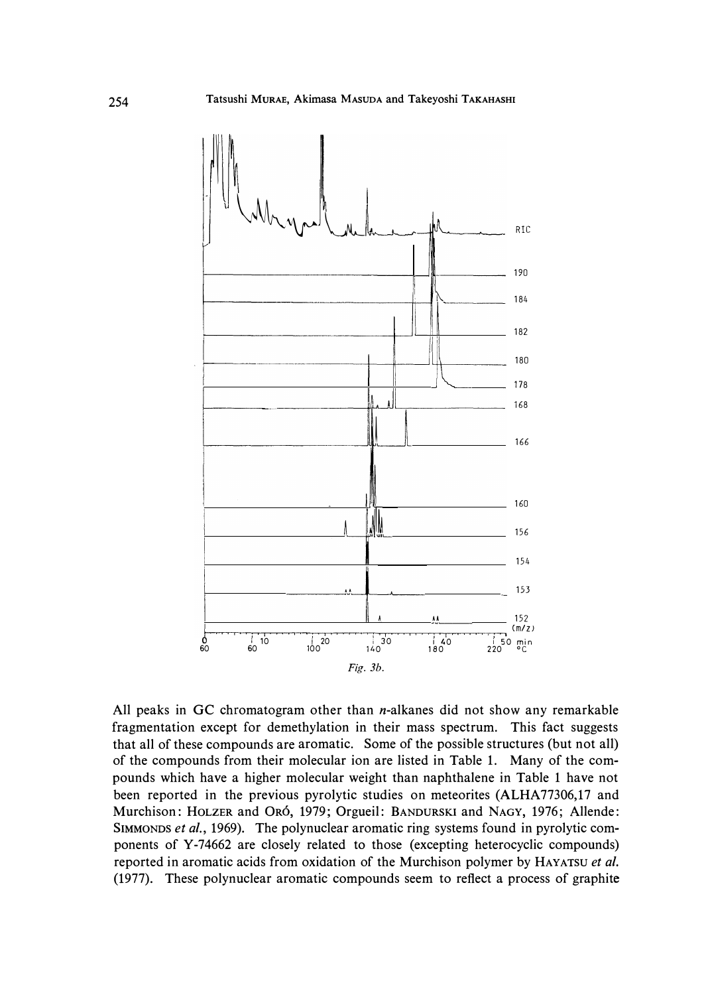

**All peaks in GC chromatogram other than n-alkanes did not show any remarkable fragmentation except for demethylation in their mass spectrum. This fact suggests that all of these compounds are aromatic. Some of the possible structures (but not all) of the compounds from their molecular ion are listed in Table 1. Many of the compounds which have a higher molecular weight than naphthalene in Table 1 have not been reported in the previous pyrolytic studies on meteorites (ALHA 77306, <sup>17</sup>and Murchison: HOLZER and 0R6, 1979; Orgueil: BANDURSKI and NAGY, 1976; Allende: SIMMONDS** *et al.,* **1969). The polynuclear aromatic ring systems found in pyrolytic components of Y-74662 are closely related to those (excepting heterocyclic compounds) reported in aromatic acids from oxidation of the Murchison polymer by HAYATSU** *et al.*  **(1977). These polynuclear aromatic compounds seem to reflect a process of graphite**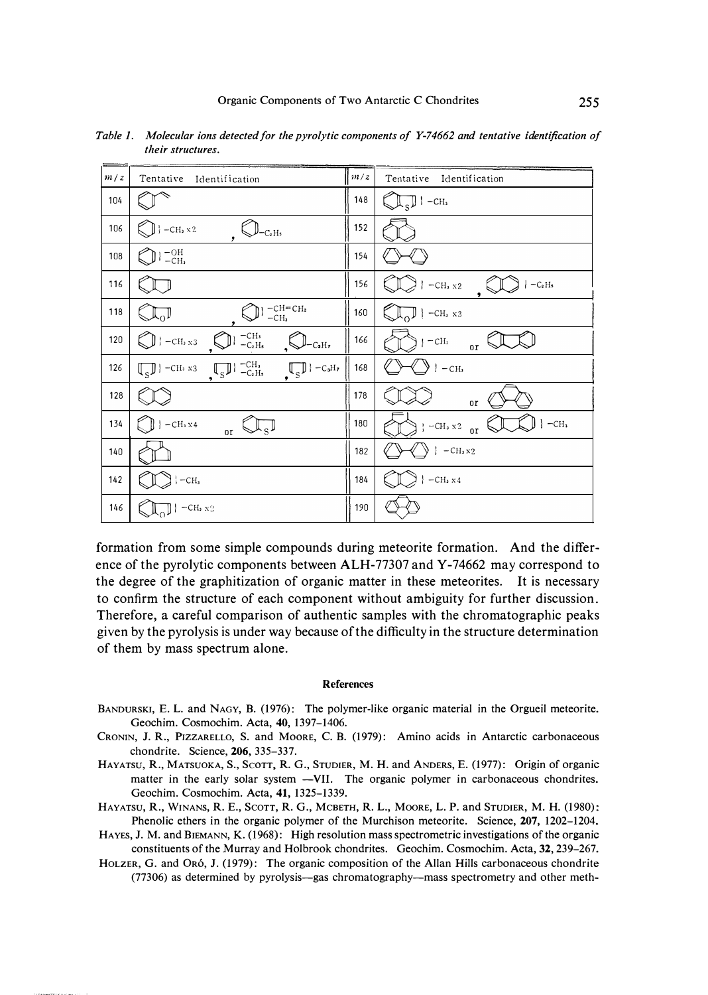| m/z | Tentative Identification                                                                                                                     | m/z | Tentative Identification                                                                            |
|-----|----------------------------------------------------------------------------------------------------------------------------------------------|-----|-----------------------------------------------------------------------------------------------------|
| 104 |                                                                                                                                              | 148 | $\sqrt{s}$   -CH <sub>3</sub>                                                                       |
| 106 | $\left\{\bigcup\right\}$ –CH <sub>3</sub> x 2<br>C <sub>2</sub> H <sub>5</sub>                                                               | 152 |                                                                                                     |
| 108 | $\vert$ $_{-CH_2}^{-OH}$                                                                                                                     | 154 |                                                                                                     |
| 116 |                                                                                                                                              | 156 | $\rightarrow$ $\leftarrow$ C <sub>2</sub> H <sub>5</sub><br>$\vert$ -CH <sub>3</sub> x <sub>2</sub> |
| 118 | $-CH = CH2$<br>$-CH3$                                                                                                                        | 160 | $\left  \bigcup_{\alpha} \right $   -CH <sub>3</sub> x3                                             |
| 120 | −СНз<br>−С2 Н <b>s</b><br>$\bigcup$ = CH <sub>3</sub> x 3<br>$\parallel_{\mathsf{-C_3H_7}}$                                                  | 166 | $-CH3$<br>0r                                                                                        |
| 126 | $\boxed{\mathbb{S}}$   -CH <sub>3</sub> $\sqrt{\mathbb{S}}$   -C <sub>H<sub>3</sub></sub> $\sqrt{\mathbb{S}}$   -C <sub>aH<sub>2</sub></sub> | 168 | $\vert$ -CH <sub>3</sub>                                                                            |
| 128 |                                                                                                                                              | 178 | or                                                                                                  |
| 134 | $\vert$ -CH <sub>3</sub> x 4<br>$\overline{or}$                                                                                              | 180 | $\}$ -CH <sub>3</sub><br>$\frac{1}{2}$   -CH <sub>3</sub> x <sup>2</sup><br>$_{0}r$                 |
| 140 |                                                                                                                                              | 182 | $\frac{1}{2}$   -CH <sub>3</sub> x <sub>2</sub>                                                     |
| 142 | $\}$ -CH <sub>3</sub>                                                                                                                        | 184 | $\vert$ -CH <sub>3</sub> x 4                                                                        |
| 146 | $-CHa X2$                                                                                                                                    | 190 |                                                                                                     |

*Table 1. Molecular ions detected for the pyrolytic components of Y-74662 and tentative identification of their structures.* 

**formation from some simple compounds during meteorite formation. And the difference of the pyrolytic components between ALH-77307 and Y-74662 may correspond to the degree of the graphitization of organic matter in these meteorites. It is necessary to confirm the structure of each component without ambiguity for further discussion. Therefore, a careful comparison of authentic samples with the chromatographic peaks given by the pyrolysis is under way because of the difficulty in the structure determination of them by mass spectrum alone.** 

#### *References*

- *BANDURSKI, E. L. and NAGY, B. (1976): The polymer-like organic material in the Orgueil meteorite. Geochim. Cosmochim. Acta, 40, 1397-1406.*
- *CRONIN, J. R., PrzzARELLO, S. and MooRE, C. B. (1979): Amino acids in Antarctic carbonaceous chondrite. Science, 206, 335-337.*
- *HAYATsu, R., MATSUOKA, S., ScoTT, R. G., STUDIER, M. H. and ANDERS, E. (1977): Origin of organic matter in the early solar system -VII. The organic polymer in carbonaceous chondrites. Geochim. Cosmochim. Acta, 41, 1325-1339.*
- *HAYATSU, R., WINANS, R. E., SCOTT, R. G., MCBETH, R. L., MOORE, L. P. and STUDIER, M. H. (1980): Phenolic ethers in the organic polymer of the Murchison meteorite. Science, 207, 1202-1204.*
- *HAYES, J.M. and BIEMANN, K. (1968): High resolution mass spectrometric investigations of the organic constituents of the Murray and Holbrook chondrites. Geochim. Cosmochim. Acta, 32, 239-267.*
- *HOLZER, G. and 0R6, J. (1979): The organic composition of the Allan Hills carbonaceous chondrite (77306) as determined by pyrolysis-gas chromatography-mass spectrometry and other meth-*